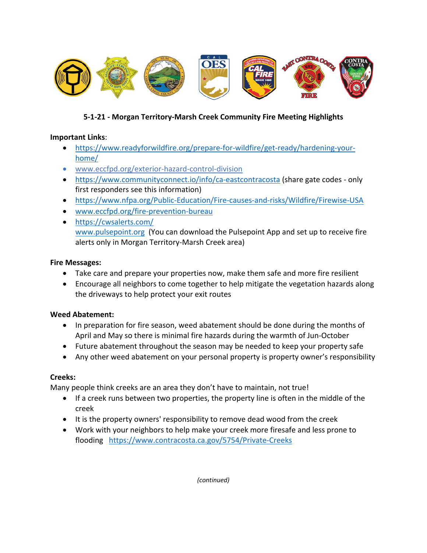

# **5-1-21 - Morgan Territory-Marsh Creek Community Fire Meeting Highlights**

### **Important Links**:

- https://www.readyforwildfire.org/prepare-for-wildfire/get-ready/hardening-yourhome/
- www.eccfpd.org/exterior-hazard-control-division
- https://www.communityconnect.io/info/ca-eastcontracosta (share gate codes only first responders see this information)
- https://www.nfpa.org/Public-Education/Fire-causes-and-risks/Wildfire/Firewise-USA
- www.eccfpd.org/fire-prevention-bureau
- https://cwsalerts.com/ www.pulsepoint.org (You can download the Pulsepoint App and set up to receive fire alerts only in Morgan Territory-Marsh Creek area)

### **Fire Messages:**

- Take care and prepare your properties now, make them safe and more fire resilient
- Encourage all neighbors to come together to help mitigate the vegetation hazards along the driveways to help protect your exit routes

## **Weed Abatement:**

- In preparation for fire season, weed abatement should be done during the months of April and May so there is minimal fire hazards during the warmth of Jun-October
- Future abatement throughout the season may be needed to keep your property safe
- Any other weed abatement on your personal property is property owner's responsibility

## **Creeks:**

Many people think creeks are an area they don't have to maintain, not true!

- If a creek runs between two properties, the property line is often in the middle of the creek
- It is the property owners' responsibility to remove dead wood from the creek
- Work with your neighbors to help make your creek more firesafe and less prone to flooding https://www.contracosta.ca.gov/5754/Private-Creeks

*(continued)*